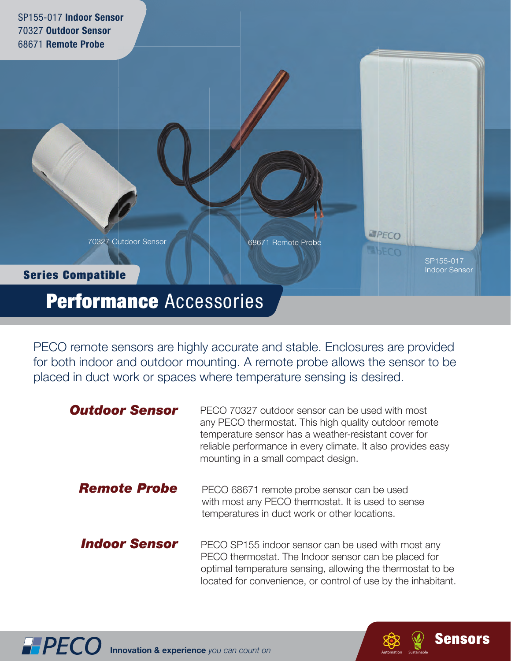

PECO remote sensors are highly accurate and stable. Enclosures are provided for both indoor and outdoor mounting. A remote probe allows the sensor to be placed in duct work or spaces where temperature sensing is desired.

| <b>Outdoor Sensor</b> | PECO 70327 outdoor sensor can be used with most<br>any PECO thermostat. This high quality outdoor remote<br>temperature sensor has a weather-resistant cover for<br>reliable performance in every climate. It also provides easy<br>mounting in a small compact design. |
|-----------------------|-------------------------------------------------------------------------------------------------------------------------------------------------------------------------------------------------------------------------------------------------------------------------|
| <b>Remote Probe</b>   | PECO 68671 remote probe sensor can be used<br>with most any PECO thermostat. It is used to sense<br>temperatures in duct work or other locations.                                                                                                                       |
| Indoor Sensor         | PECO SP155 indoor sensor can be used with most any<br>PECO thermostat. The Indoor sensor can be placed for<br>optimal temperature sensing, allowing the thermostat to be<br>located for convenience, or control of use by the inhabitant.                               |

**THE REAR** Automation Sustainable

Automation Sustainable

Sensors